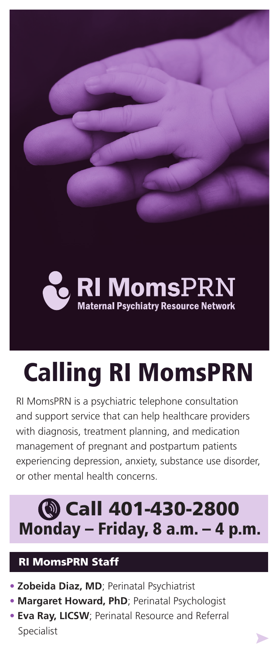**RI Moms**PRN **Maternal Psychiatry Resource Network** 

# Calling RI MomsPRN

RI MomsPRN is a psychiatric telephone consultation and support service that can help healthcare providers with diagnosis, treatment planning, and medication management of pregnant and postpartum patients experiencing depression, anxiety, substance use disorder, or other mental health concerns.

## Monday – Friday, 8 a.m. – 4 p.m. **@ Call 401-430-2800**

### RI MomsPRN Staff

- **Zobeida Diaz, MD**; Perinatal Psychiatrist
- **Margaret Howard, PhD**; Perinatal Psychologist
- **Eva Ray, LICSW**; Perinatal Resource and Referral Specialist